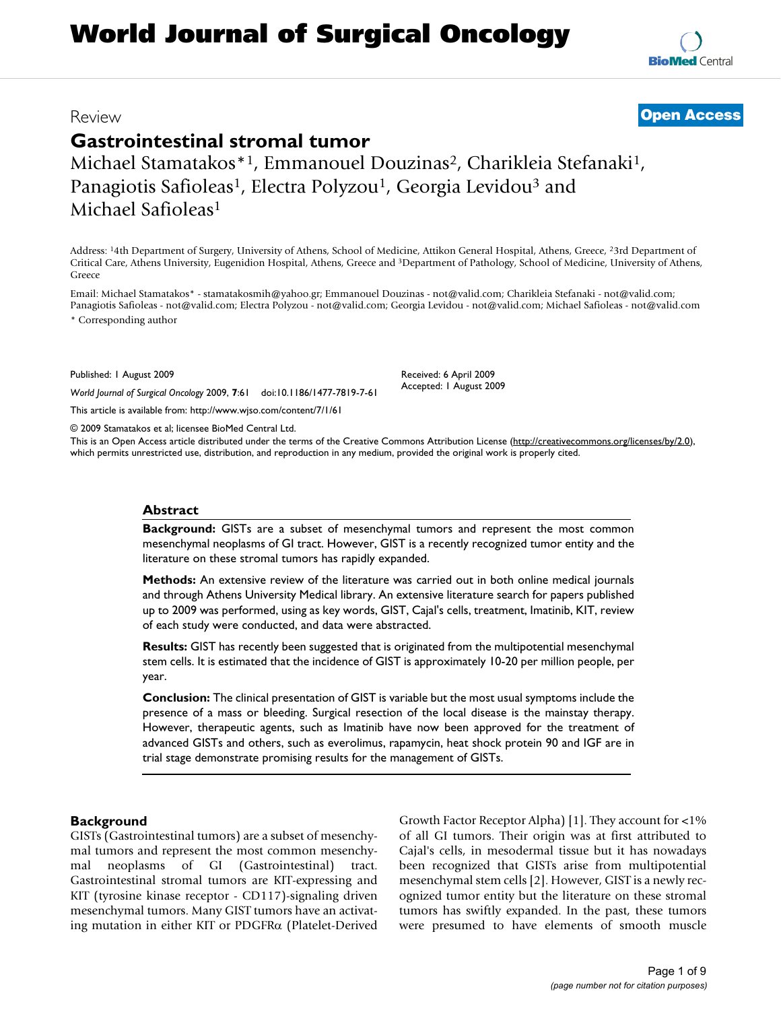# **World Journal of Surgical Oncology**

## **Gastrointestinal stromal tumor**

Michael Stamatakos\*<sup>1</sup>, Emmanouel Douzinas<sup>2</sup>, Charikleia Stefanaki<sup>1</sup>, Panagiotis Safioleas<sup>1</sup>, Electra Polyzou<sup>1</sup>, Georgia Levidou<sup>3</sup> and Michael Safioleas1

Address: 14th Department of Surgery, University of Athens, School of Medicine, Attikon General Hospital, Athens, Greece, 23rd Department of Critical Care, Athens University, Eugenidion Hospital, Athens, Greece and 3Department of Pathology, School of Medicine, University of Athens, Greece

Email: Michael Stamatakos\* - stamatakosmih@yahoo.gr; Emmanouel Douzinas - not@valid.com; Charikleia Stefanaki - not@valid.com; Panagiotis Safioleas - not@valid.com; Electra Polyzou - not@valid.com; Georgia Levidou - not@valid.com; Michael Safioleas - not@valid.com \* Corresponding author

Published: 1 August 2009

*World Journal of Surgical Oncology* 2009, **7**:61 doi:10.1186/1477-7819-7-61 [This article is available from: http://www.wjso.com/content/7/1/61](http://www.wjso.com/content/7/1/61)

© 2009 Stamatakos et al; licensee BioMed Central Ltd.

This is an Open Access article distributed under the terms of the Creative Commons Attribution License [\(http://creativecommons.org/licenses/by/2.0\)](http://creativecommons.org/licenses/by/2.0), which permits unrestricted use, distribution, and reproduction in any medium, provided the original work is properly cited.

#### **Abstract**

**Background:** GISTs are a subset of mesenchymal tumors and represent the most common mesenchymal neoplasms of GI tract. However, GIST is a recently recognized tumor entity and the literature on these stromal tumors has rapidly expanded.

**Methods:** An extensive review of the literature was carried out in both online medical journals and through Athens University Medical library. An extensive literature search for papers published up to 2009 was performed, using as key words, GIST, Cajal's cells, treatment, Imatinib, KIT, review of each study were conducted, and data were abstracted.

**Results:** GIST has recently been suggested that is originated from the multipotential mesenchymal stem cells. It is estimated that the incidence of GIST is approximately 10-20 per million people, per year.

**Conclusion:** The clinical presentation of GIST is variable but the most usual symptoms include the presence of a mass or bleeding. Surgical resection of the local disease is the mainstay therapy. However, therapeutic agents, such as Imatinib have now been approved for the treatment of advanced GISTs and others, such as everolimus, rapamycin, heat shock protein 90 and IGF are in trial stage demonstrate promising results for the management of GISTs.

#### **Background**

GISTs (Gastrointestinal tumors) are a subset of mesenchymal tumors and represent the most common mesenchymal neoplasms of GI (Gastrointestinal) tract. Gastrointestinal stromal tumors are KIT-expressing and KIT (tyrosine kinase receptor - CD117)-signaling driven mesenchymal tumors. Many GIST tumors have an activating mutation in either KIT or  $PDGFR\alpha$  (Platelet-Derived Growth Factor Receptor Alpha) [1]. They account for <1% of all GI tumors. Their origin was at first attributed to Cajal's cells, in mesodermal tissue but it has nowadays been recognized that GISTs arise from multipotential mesenchymal stem cells [2]. However, GIST is a newly recognized tumor entity but the literature on these stromal tumors has swiftly expanded. In the past, these tumors were presumed to have elements of smooth muscle

# Review **[Open Access](http://www.biomedcentral.com/info/about/charter/)**

Received: 6 April 2009 Accepted: 1 August 2009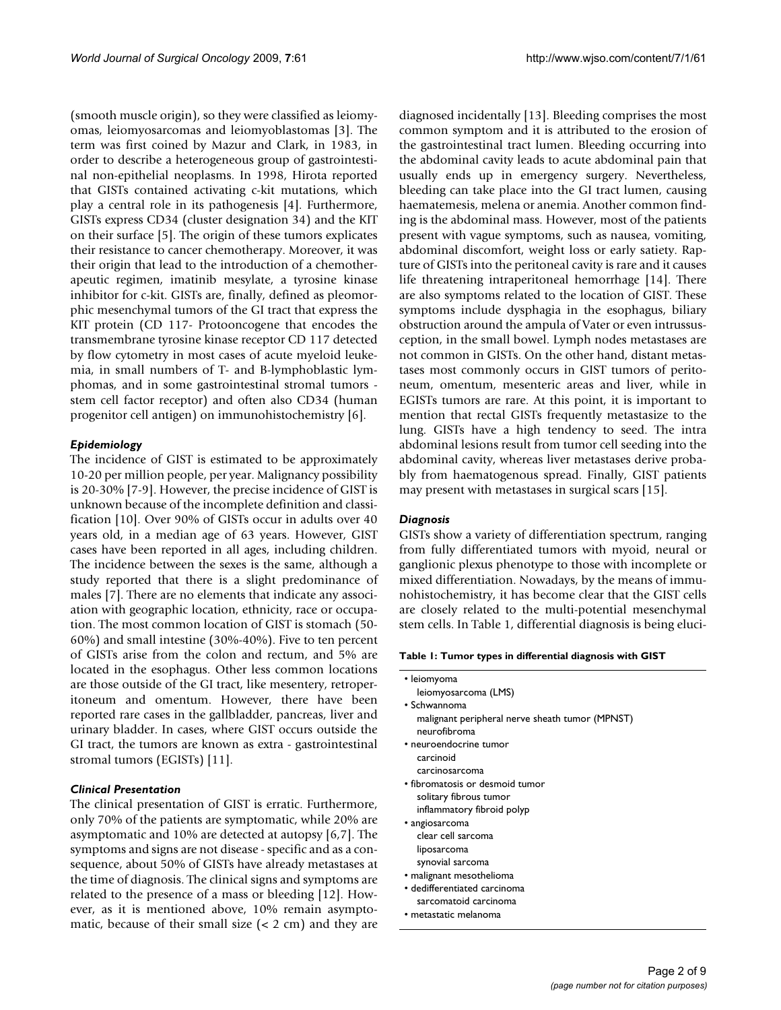(smooth muscle origin), so they were classified as leiomyomas, leiomyosarcomas and leiomyoblastomas [3]. The term was first coined by Mazur and Clark, in 1983, in order to describe a heterogeneous group of gastrointestinal non-epithelial neoplasms. In 1998, Hirota reported that GISTs contained activating c-kit mutations, which play a central role in its pathogenesis [4]. Furthermore, GISTs express CD34 (cluster designation 34) and the KIT on their surface [5]. The origin of these tumors explicates their resistance to cancer chemotherapy. Moreover, it was their origin that lead to the introduction of a chemotherapeutic regimen, imatinib mesylate, a tyrosine kinase inhibitor for c-kit. GISTs are, finally, defined as pleomorphic mesenchymal tumors of the GI tract that express the KIT protein (CD 117- Protooncogene that encodes the transmembrane tyrosine kinase receptor CD 117 detected by flow cytometry in most cases of acute myeloid leukemia, in small numbers of T- and B-lymphoblastic lymphomas, and in some gastrointestinal stromal tumors stem cell factor receptor) and often also CD34 (human progenitor cell antigen) on immunohistochemistry [6].

#### *Epidemiology*

The incidence of GIST is estimated to be approximately 10-20 per million people, per year. Malignancy possibility is 20-30% [7-9]. However, the precise incidence of GIST is unknown because of the incomplete definition and classification [10]. Over 90% of GISTs occur in adults over 40 years old, in a median age of 63 years. However, GIST cases have been reported in all ages, including children. The incidence between the sexes is the same, although a study reported that there is a slight predominance of males [7]. There are no elements that indicate any association with geographic location, ethnicity, race or occupation. The most common location of GIST is stomach (50- 60%) and small intestine (30%-40%). Five to ten percent of GISTs arise from the colon and rectum, and 5% are located in the esophagus. Other less common locations are those outside of the GI tract, like mesentery, retroperitoneum and omentum. However, there have been reported rare cases in the gallbladder, pancreas, liver and urinary bladder. In cases, where GIST occurs outside the GI tract, the tumors are known as extra - gastrointestinal stromal tumors (EGISTs) [11].

#### *Clinical Presentation*

The clinical presentation of GIST is erratic. Furthermore, only 70% of the patients are symptomatic, while 20% are asymptomatic and 10% are detected at autopsy [6,7]. The symptoms and signs are not disease - specific and as a consequence, about 50% of GISTs have already metastases at the time of diagnosis. The clinical signs and symptoms are related to the presence of a mass or bleeding [12]. However, as it is mentioned above, 10% remain asymptomatic, because of their small size  $(< 2 \text{ cm})$  and they are diagnosed incidentally [13]. Bleeding comprises the most common symptom and it is attributed to the erosion of the gastrointestinal tract lumen. Bleeding occurring into the abdominal cavity leads to acute abdominal pain that usually ends up in emergency surgery. Nevertheless, bleeding can take place into the GI tract lumen, causing haematemesis, melena or anemia. Another common finding is the abdominal mass. However, most of the patients present with vague symptoms, such as nausea, vomiting, abdominal discomfort, weight loss or early satiety. Rapture of GISTs into the peritoneal cavity is rare and it causes life threatening intraperitoneal hemorrhage [14]. There are also symptoms related to the location of GIST. These symptoms include dysphagia in the esophagus, biliary obstruction around the ampula of Vater or even intrussusception, in the small bowel. Lymph nodes metastases are not common in GISTs. On the other hand, distant metastases most commonly occurs in GIST tumors of peritoneum, omentum, mesenteric areas and liver, while in EGISTs tumors are rare. At this point, it is important to mention that rectal GISTs frequently metastasize to the lung. GISTs have a high tendency to seed. The intra abdominal lesions result from tumor cell seeding into the abdominal cavity, whereas liver metastases derive probably from haematogenous spread. Finally, GIST patients may present with metastases in surgical scars [15].

#### *Diagnosis*

GISTs show a variety of differentiation spectrum, ranging from fully differentiated tumors with myoid, neural or ganglionic plexus phenotype to those with incomplete or mixed differentiation. Nowadays, by the means of immunohistochemistry, it has become clear that the GIST cells are closely related to the multi-potential mesenchymal stem cells. In Table 1, differential diagnosis is being eluci-

#### **Table 1: Tumor types in differential diagnosis with GIST**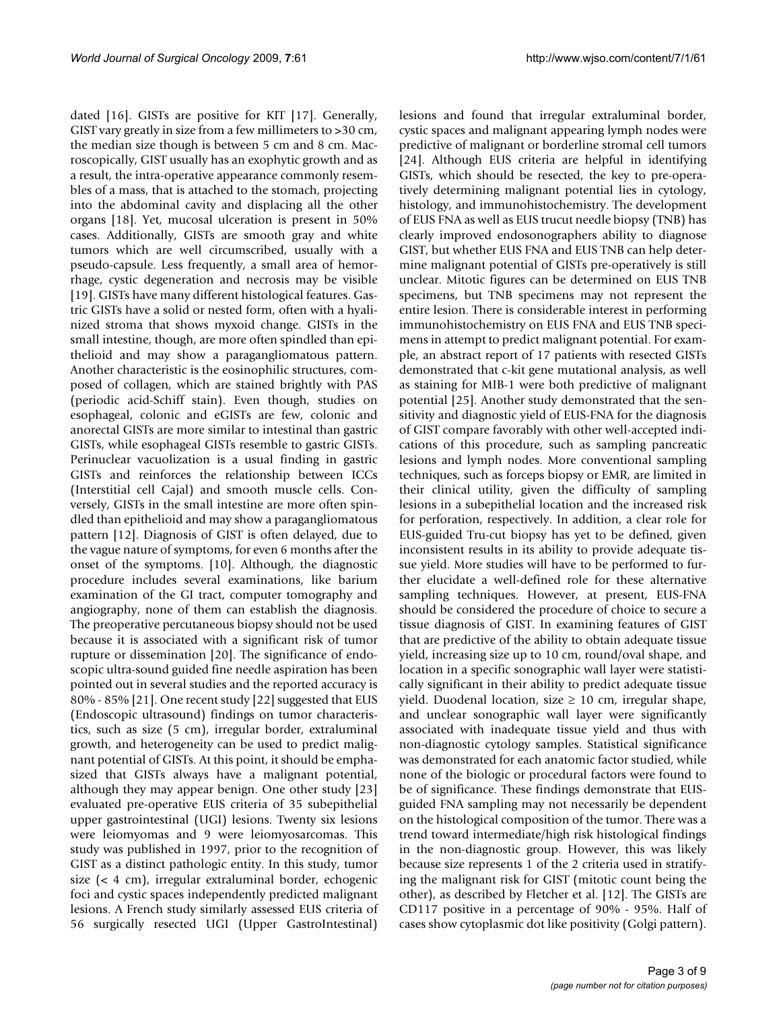dated [16]. GISTs are positive for KIT [17]. Generally, GIST vary greatly in size from a few millimeters to >30 cm, the median size though is between 5 cm and 8 cm. Macroscopically, GIST usually has an exophytic growth and as a result, the intra-operative appearance commonly resembles of a mass, that is attached to the stomach, projecting into the abdominal cavity and displacing all the other organs [18]. Yet, mucosal ulceration is present in 50% cases. Additionally, GISTs are smooth gray and white tumors which are well circumscribed, usually with a pseudo-capsule. Less frequently, a small area of hemorrhage, cystic degeneration and necrosis may be visible [19]. GISTs have many different histological features. Gastric GISTs have a solid or nested form, often with a hyalinized stroma that shows myxoid change. GISTs in the small intestine, though, are more often spindled than epithelioid and may show a paragangliomatous pattern. Another characteristic is the eosinophilic structures, composed of collagen, which are stained brightly with PAS (periodic acid-Schiff stain). Even though, studies on esophageal, colonic and eGISTs are few, colonic and anorectal GISTs are more similar to intestinal than gastric GISTs, while esophageal GISTs resemble to gastric GISTs. Perinuclear vacuolization is a usual finding in gastric GISTs and reinforces the relationship between ICCs (Interstitial cell Cajal) and smooth muscle cells. Conversely, GISTs in the small intestine are more often spindled than epithelioid and may show a paragangliomatous pattern [12]. Diagnosis of GIST is often delayed, due to the vague nature of symptoms, for even 6 months after the onset of the symptoms. [10]. Although, the diagnostic procedure includes several examinations, like barium examination of the GI tract, computer tomography and angiography, none of them can establish the diagnosis. The preoperative percutaneous biopsy should not be used because it is associated with a significant risk of tumor rupture or dissemination [20]. The significance of endoscopic ultra-sound guided fine needle aspiration has been pointed out in several studies and the reported accuracy is 80% - 85% [21]. One recent study [22] suggested that EUS (Endoscopic ultrasound) findings on tumor characteristics, such as size (5 cm), irregular border, extraluminal growth, and heterogeneity can be used to predict malignant potential of GISTs. At this point, it should be emphasized that GISTs always have a malignant potential, although they may appear benign. One other study [23] evaluated pre-operative EUS criteria of 35 subepithelial upper gastrointestinal (UGI) lesions. Twenty six lesions were leiomyomas and 9 were leiomyosarcomas. This study was published in 1997, prior to the recognition of GIST as a distinct pathologic entity. In this study, tumor size (< 4 cm), irregular extraluminal border, echogenic foci and cystic spaces independently predicted malignant lesions. A French study similarly assessed EUS criteria of 56 surgically resected UGI (Upper GastroIntestinal)

lesions and found that irregular extraluminal border, cystic spaces and malignant appearing lymph nodes were predictive of malignant or borderline stromal cell tumors [24]. Although EUS criteria are helpful in identifying GISTs, which should be resected, the key to pre-operatively determining malignant potential lies in cytology, histology, and immunohistochemistry. The development of EUS FNA as well as EUS trucut needle biopsy (TNB) has clearly improved endosonographers ability to diagnose GIST, but whether EUS FNA and EUS TNB can help determine malignant potential of GISTs pre-operatively is still unclear. Mitotic figures can be determined on EUS TNB specimens, but TNB specimens may not represent the entire lesion. There is considerable interest in performing immunohistochemistry on EUS FNA and EUS TNB specimens in attempt to predict malignant potential. For example, an abstract report of 17 patients with resected GISTs demonstrated that c-kit gene mutational analysis, as well as staining for MIB-1 were both predictive of malignant potential [25]. Another study demonstrated that the sensitivity and diagnostic yield of EUS-FNA for the diagnosis of GIST compare favorably with other well-accepted indications of this procedure, such as sampling pancreatic lesions and lymph nodes. More conventional sampling techniques, such as forceps biopsy or EMR, are limited in their clinical utility, given the difficulty of sampling lesions in a subepithelial location and the increased risk for perforation, respectively. In addition, a clear role for EUS-guided Tru-cut biopsy has yet to be defined, given inconsistent results in its ability to provide adequate tissue yield. More studies will have to be performed to further elucidate a well-defined role for these alternative sampling techniques. However, at present, EUS-FNA should be considered the procedure of choice to secure a tissue diagnosis of GIST. In examining features of GIST that are predictive of the ability to obtain adequate tissue yield, increasing size up to 10 cm, round/oval shape, and location in a specific sonographic wall layer were statistically significant in their ability to predict adequate tissue yield. Duodenal location, size  $\geq 10$  cm, irregular shape, and unclear sonographic wall layer were significantly associated with inadequate tissue yield and thus with non-diagnostic cytology samples. Statistical significance was demonstrated for each anatomic factor studied, while none of the biologic or procedural factors were found to be of significance. These findings demonstrate that EUSguided FNA sampling may not necessarily be dependent on the histological composition of the tumor. There was a trend toward intermediate/high risk histological findings in the non-diagnostic group. However, this was likely because size represents 1 of the 2 criteria used in stratifying the malignant risk for GIST (mitotic count being the other), as described by Fletcher et al. [12]. The GISTs are CD117 positive in a percentage of 90% - 95%. Half of cases show cytoplasmic dot like positivity (Golgi pattern).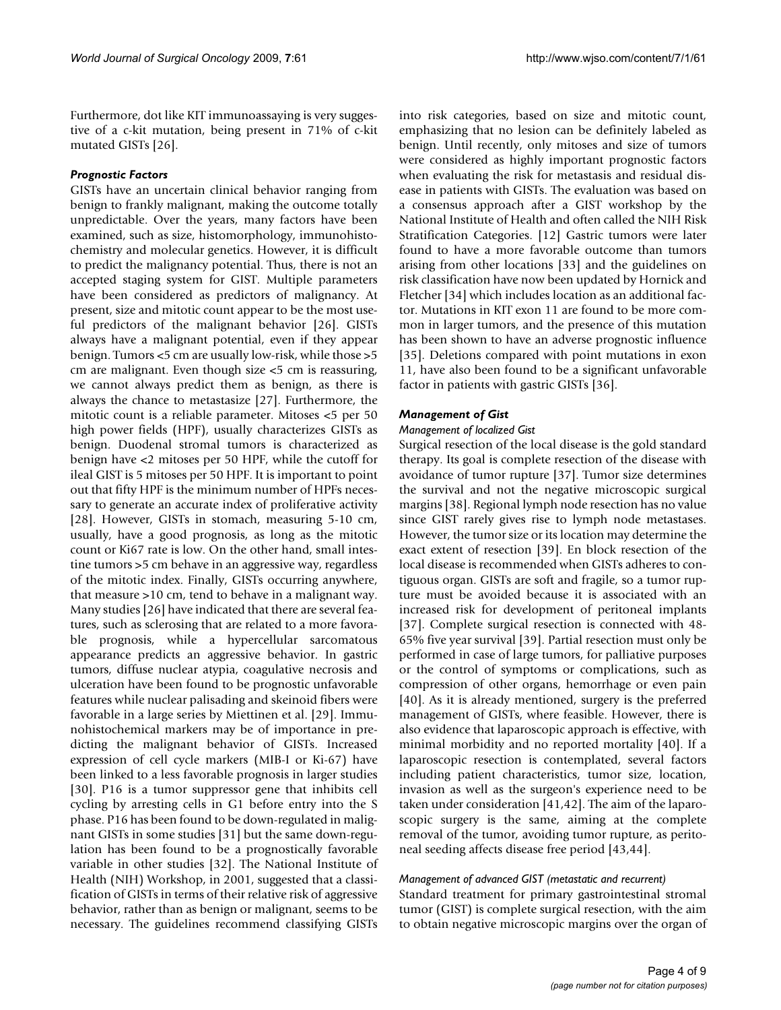Furthermore, dot like KIT immunoassaying is very suggestive of a c-kit mutation, being present in 71% of c-kit mutated GISTs [26].

#### *Prognostic Factors*

GISTs have an uncertain clinical behavior ranging from benign to frankly malignant, making the outcome totally unpredictable. Over the years, many factors have been examined, such as size, histomorphology, immunohistochemistry and molecular genetics. However, it is difficult to predict the malignancy potential. Thus, there is not an accepted staging system for GIST. Multiple parameters have been considered as predictors of malignancy. At present, size and mitotic count appear to be the most useful predictors of the malignant behavior [26]. GISTs always have a malignant potential, even if they appear benign. Tumors <5 cm are usually low-risk, while those >5 cm are malignant. Even though size <5 cm is reassuring, we cannot always predict them as benign, as there is always the chance to metastasize [27]. Furthermore, the mitotic count is a reliable parameter. Mitoses <5 per 50 high power fields (HPF), usually characterizes GISTs as benign. Duodenal stromal tumors is characterized as benign have <2 mitoses per 50 HPF, while the cutoff for ileal GIST is 5 mitoses per 50 HPF. It is important to point out that fifty HPF is the minimum number of HPFs necessary to generate an accurate index of proliferative activity [28]. However, GISTs in stomach, measuring 5-10 cm, usually, have a good prognosis, as long as the mitotic count or Ki67 rate is low. On the other hand, small intestine tumors >5 cm behave in an aggressive way, regardless of the mitotic index. Finally, GISTs occurring anywhere, that measure >10 cm, tend to behave in a malignant way. Many studies [26] have indicated that there are several features, such as sclerosing that are related to a more favorable prognosis, while a hypercellular sarcomatous appearance predicts an aggressive behavior. In gastric tumors, diffuse nuclear atypia, coagulative necrosis and ulceration have been found to be prognostic unfavorable features while nuclear palisading and skeinoid fibers were favorable in a large series by Miettinen et al. [29]. Immunohistochemical markers may be of importance in predicting the malignant behavior of GISTs. Increased expression of cell cycle markers (MIB-I or Ki-67) have been linked to a less favorable prognosis in larger studies [30]. P16 is a tumor suppressor gene that inhibits cell cycling by arresting cells in G1 before entry into the S phase. P16 has been found to be down-regulated in malignant GISTs in some studies [31] but the same down-regulation has been found to be a prognostically favorable variable in other studies [32]. The National Institute of Health (NIH) Workshop, in 2001, suggested that a classification of GISTs in terms of their relative risk of aggressive behavior, rather than as benign or malignant, seems to be necessary. The guidelines recommend classifying GISTs

into risk categories, based on size and mitotic count, emphasizing that no lesion can be definitely labeled as benign. Until recently, only mitoses and size of tumors were considered as highly important prognostic factors when evaluating the risk for metastasis and residual disease in patients with GISTs. The evaluation was based on a consensus approach after a GIST workshop by the National Institute of Health and often called the NIH Risk Stratification Categories. [12] Gastric tumors were later found to have a more favorable outcome than tumors arising from other locations [33] and the guidelines on risk classification have now been updated by Hornick and Fletcher [34] which includes location as an additional factor. Mutations in KIT exon 11 are found to be more common in larger tumors, and the presence of this mutation has been shown to have an adverse prognostic influence [35]. Deletions compared with point mutations in exon 11, have also been found to be a significant unfavorable factor in patients with gastric GISTs [36].

#### *Management of Gist*

#### *Management of localized Gist*

Surgical resection of the local disease is the gold standard therapy. Its goal is complete resection of the disease with avoidance of tumor rupture [37]. Tumor size determines the survival and not the negative microscopic surgical margins [38]. Regional lymph node resection has no value since GIST rarely gives rise to lymph node metastases. However, the tumor size or its location may determine the exact extent of resection [39]. En block resection of the local disease is recommended when GISTs adheres to contiguous organ. GISTs are soft and fragile, so a tumor rupture must be avoided because it is associated with an increased risk for development of peritoneal implants [37]. Complete surgical resection is connected with 48- 65% five year survival [39]. Partial resection must only be performed in case of large tumors, for palliative purposes or the control of symptoms or complications, such as compression of other organs, hemorrhage or even pain [40]. As it is already mentioned, surgery is the preferred management of GISTs, where feasible. However, there is also evidence that laparoscopic approach is effective, with minimal morbidity and no reported mortality [40]. If a laparoscopic resection is contemplated, several factors including patient characteristics, tumor size, location, invasion as well as the surgeon's experience need to be taken under consideration [41,42]. The aim of the laparoscopic surgery is the same, aiming at the complete removal of the tumor, avoiding tumor rupture, as peritoneal seeding affects disease free period [43,44].

#### *Management of advanced GIST (metastatic and recurrent)*

Standard treatment for primary gastrointestinal stromal tumor (GIST) is complete surgical resection, with the aim to obtain negative microscopic margins over the organ of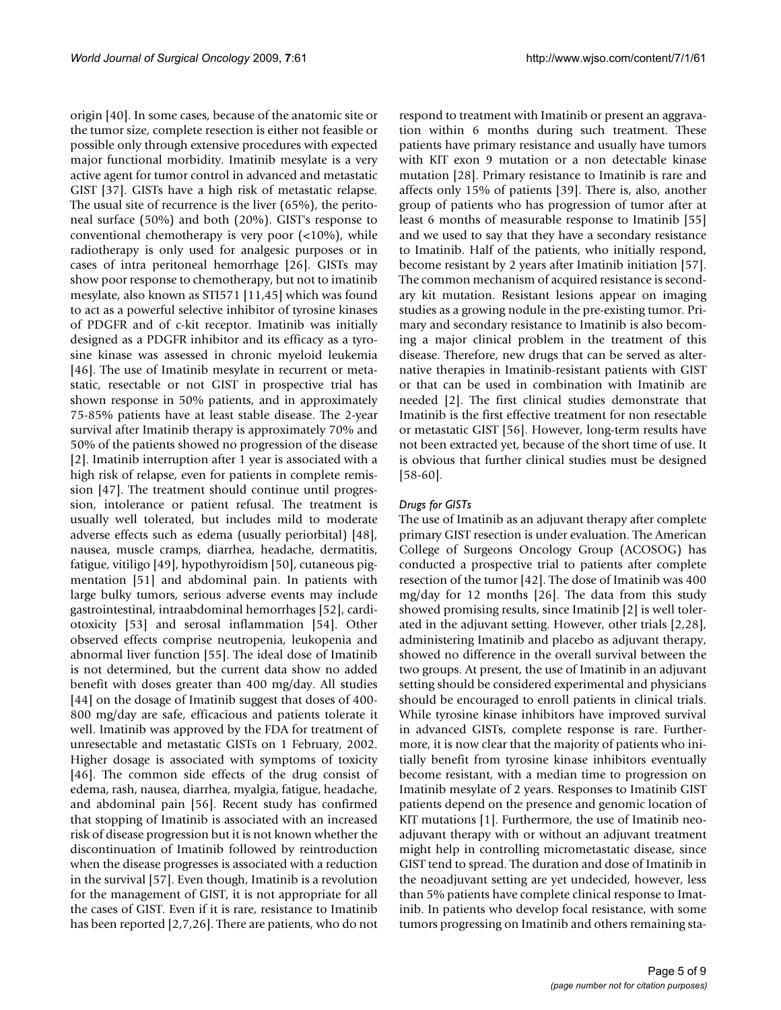origin [40]. In some cases, because of the anatomic site or the tumor size, complete resection is either not feasible or possible only through extensive procedures with expected major functional morbidity. Imatinib mesylate is a very active agent for tumor control in advanced and metastatic GIST [37]. GISTs have a high risk of metastatic relapse. The usual site of recurrence is the liver (65%), the peritoneal surface (50%) and both (20%). GIST's response to conventional chemotherapy is very poor (<10%), while radiotherapy is only used for analgesic purposes or in cases of intra peritoneal hemorrhage [26]. GISTs may show poor response to chemotherapy, but not to imatinib mesylate, also known as STI571 [11,45] which was found to act as a powerful selective inhibitor of tyrosine kinases of PDGFR and of c-kit receptor. Imatinib was initially designed as a PDGFR inhibitor and its efficacy as a tyrosine kinase was assessed in chronic myeloid leukemia [46]. The use of Imatinib mesylate in recurrent or metastatic, resectable or not GIST in prospective trial has shown response in 50% patients, and in approximately 75-85% patients have at least stable disease. The 2-year survival after Imatinib therapy is approximately 70% and 50% of the patients showed no progression of the disease [2]. Imatinib interruption after 1 year is associated with a high risk of relapse, even for patients in complete remission [47]. The treatment should continue until progression, intolerance or patient refusal. The treatment is usually well tolerated, but includes mild to moderate adverse effects such as edema (usually periorbital) [48], nausea, muscle cramps, diarrhea, headache, dermatitis, fatigue, vitiligo [49], hypothyroidism [50], cutaneous pigmentation [51] and abdominal pain. In patients with large bulky tumors, serious adverse events may include gastrointestinal, intraabdominal hemorrhages [52], cardiotoxicity [53] and serosal inflammation [54]. Other observed effects comprise neutropenia, leukopenia and abnormal liver function [55]. The ideal dose of Imatinib is not determined, but the current data show no added benefit with doses greater than 400 mg/day. All studies [44] on the dosage of Imatinib suggest that doses of 400-800 mg/day are safe, efficacious and patients tolerate it well. Imatinib was approved by the FDA for treatment of unresectable and metastatic GISTs on 1 February, 2002. Higher dosage is associated with symptoms of toxicity [46]. The common side effects of the drug consist of edema, rash, nausea, diarrhea, myalgia, fatigue, headache, and abdominal pain [56]. Recent study has confirmed that stopping of Imatinib is associated with an increased risk of disease progression but it is not known whether the discontinuation of Imatinib followed by reintroduction when the disease progresses is associated with a reduction in the survival [57]. Even though, Imatinib is a revolution for the management of GIST, it is not appropriate for all the cases of GIST. Even if it is rare, resistance to Imatinib has been reported [2,7,26]. There are patients, who do not

respond to treatment with Imatinib or present an aggravation within 6 months during such treatment. These patients have primary resistance and usually have tumors with KIT exon 9 mutation or a non detectable kinase mutation [28]. Primary resistance to Imatinib is rare and affects only 15% of patients [39]. There is, also, another group of patients who has progression of tumor after at least 6 months of measurable response to Imatinib [55] and we used to say that they have a secondary resistance to Imatinib. Half of the patients, who initially respond, become resistant by 2 years after Imatinib initiation [57]. The common mechanism of acquired resistance is secondary kit mutation. Resistant lesions appear on imaging studies as a growing nodule in the pre-existing tumor. Primary and secondary resistance to Imatinib is also becoming a major clinical problem in the treatment of this disease. Therefore, new drugs that can be served as alternative therapies in Imatinib-resistant patients with GIST or that can be used in combination with Imatinib are needed [2]. The first clinical studies demonstrate that Imatinib is the first effective treatment for non resectable or metastatic GIST [56]. However, long-term results have not been extracted yet, because of the short time of use. It is obvious that further clinical studies must be designed [58-60].

#### *Drugs for GISTs*

The use of Imatinib as an adjuvant therapy after complete primary GIST resection is under evaluation. The American College of Surgeons Oncology Group (ACOSOG) has conducted a prospective trial to patients after complete resection of the tumor [42]. The dose of Imatinib was 400 mg/day for 12 months [26]. The data from this study showed promising results, since Imatinib [2] is well tolerated in the adjuvant setting. However, other trials [2,28], administering Imatinib and placebo as adjuvant therapy, showed no difference in the overall survival between the two groups. At present, the use of Imatinib in an adjuvant setting should be considered experimental and physicians should be encouraged to enroll patients in clinical trials. While tyrosine kinase inhibitors have improved survival in advanced GISTs, complete response is rare. Furthermore, it is now clear that the majority of patients who initially benefit from tyrosine kinase inhibitors eventually become resistant, with a median time to progression on Imatinib mesylate of 2 years. Responses to Imatinib GIST patients depend on the presence and genomic location of KIT mutations [1]. Furthermore, the use of Imatinib neoadjuvant therapy with or without an adjuvant treatment might help in controlling micrometastatic disease, since GIST tend to spread. The duration and dose of Imatinib in the neoadjuvant setting are yet undecided, however, less than 5% patients have complete clinical response to Imatinib. In patients who develop focal resistance, with some tumors progressing on Imatinib and others remaining sta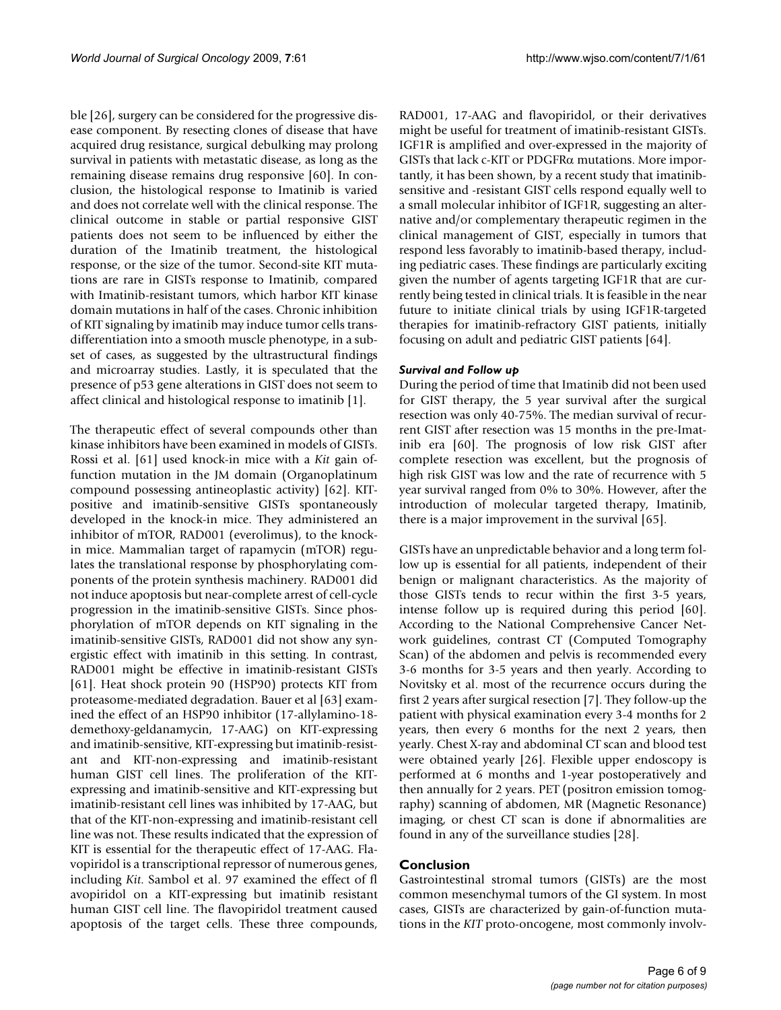ble [26], surgery can be considered for the progressive disease component. By resecting clones of disease that have acquired drug resistance, surgical debulking may prolong survival in patients with metastatic disease, as long as the remaining disease remains drug responsive [60]. In conclusion, the histological response to Imatinib is varied and does not correlate well with the clinical response. The clinical outcome in stable or partial responsive GIST patients does not seem to be influenced by either the duration of the Imatinib treatment, the histological response, or the size of the tumor. Second-site KIT mutations are rare in GISTs response to Imatinib, compared with Imatinib-resistant tumors, which harbor KIT kinase domain mutations in half of the cases. Chronic inhibition of KIT signaling by imatinib may induce tumor cells transdifferentiation into a smooth muscle phenotype, in a subset of cases, as suggested by the ultrastructural findings and microarray studies. Lastly, it is speculated that the presence of p53 gene alterations in GIST does not seem to affect clinical and histological response to imatinib [1].

The therapeutic effect of several compounds other than kinase inhibitors have been examined in models of GISTs. Rossi et al. [61] used knock-in mice with a *Kit* gain offunction mutation in the JM domain (Organoplatinum compound possessing antineoplastic activity) [62]. KITpositive and imatinib-sensitive GISTs spontaneously developed in the knock-in mice. They administered an inhibitor of mTOR, RAD001 (everolimus), to the knockin mice. Mammalian target of rapamycin (mTOR) regulates the translational response by phosphorylating components of the protein synthesis machinery. RAD001 did not induce apoptosis but near-complete arrest of cell-cycle progression in the imatinib-sensitive GISTs. Since phosphorylation of mTOR depends on KIT signaling in the imatinib-sensitive GISTs, RAD001 did not show any synergistic effect with imatinib in this setting. In contrast, RAD001 might be effective in imatinib-resistant GISTs [61]. Heat shock protein 90 (HSP90) protects KIT from proteasome-mediated degradation. Bauer et al [63] examined the effect of an HSP90 inhibitor (17-allylamino-18 demethoxy-geldanamycin, 17-AAG) on KIT-expressing and imatinib-sensitive, KIT-expressing but imatinib-resistant and KIT-non-expressing and imatinib-resistant human GIST cell lines. The proliferation of the KITexpressing and imatinib-sensitive and KIT-expressing but imatinib-resistant cell lines was inhibited by 17-AAG, but that of the KIT-non-expressing and imatinib-resistant cell line was not. These results indicated that the expression of KIT is essential for the therapeutic effect of 17-AAG. Flavopiridol is a transcriptional repressor of numerous genes, including *Kit*. Sambol et al. 97 examined the effect of fl avopiridol on a KIT-expressing but imatinib resistant human GIST cell line. The flavopiridol treatment caused apoptosis of the target cells. These three compounds,

RAD001, 17-AAG and flavopiridol, or their derivatives might be useful for treatment of imatinib-resistant GISTs. IGF1R is amplified and over-expressed in the majority of GISTs that lack c-KIT or PDGFR $\alpha$  mutations. More importantly, it has been shown, by a recent study that imatinibsensitive and -resistant GIST cells respond equally well to a small molecular inhibitor of IGF1R, suggesting an alternative and/or complementary therapeutic regimen in the clinical management of GIST, especially in tumors that respond less favorably to imatinib-based therapy, including pediatric cases. These findings are particularly exciting given the number of agents targeting IGF1R that are currently being tested in clinical trials. It is feasible in the near future to initiate clinical trials by using IGF1R-targeted therapies for imatinib-refractory GIST patients, initially focusing on adult and pediatric GIST patients [64].

#### *Survival and Follow up*

During the period of time that Imatinib did not been used for GIST therapy, the 5 year survival after the surgical resection was only 40-75%. The median survival of recurrent GIST after resection was 15 months in the pre-Imatinib era [60]. The prognosis of low risk GIST after complete resection was excellent, but the prognosis of high risk GIST was low and the rate of recurrence with 5 year survival ranged from 0% to 30%. However, after the introduction of molecular targeted therapy, Imatinib, there is a major improvement in the survival [65].

GISTs have an unpredictable behavior and a long term follow up is essential for all patients, independent of their benign or malignant characteristics. As the majority of those GISTs tends to recur within the first 3-5 years, intense follow up is required during this period [60]. According to the National Comprehensive Cancer Network guidelines, contrast CT (Computed Tomography Scan) of the abdomen and pelvis is recommended every 3-6 months for 3-5 years and then yearly. According to Novitsky et al. most of the recurrence occurs during the first 2 years after surgical resection [7]. They follow-up the patient with physical examination every 3-4 months for 2 years, then every 6 months for the next 2 years, then yearly. Chest X-ray and abdominal CT scan and blood test were obtained yearly [26]. Flexible upper endoscopy is performed at 6 months and 1-year postoperatively and then annually for 2 years. PET (positron emission tomography) scanning of abdomen, MR (Magnetic Resonance) imaging, or chest CT scan is done if abnormalities are found in any of the surveillance studies [28].

### **Conclusion**

Gastrointestinal stromal tumors (GISTs) are the most common mesenchymal tumors of the GI system. In most cases, GISTs are characterized by gain-of-function mutations in the *KIT* proto-oncogene, most commonly involv-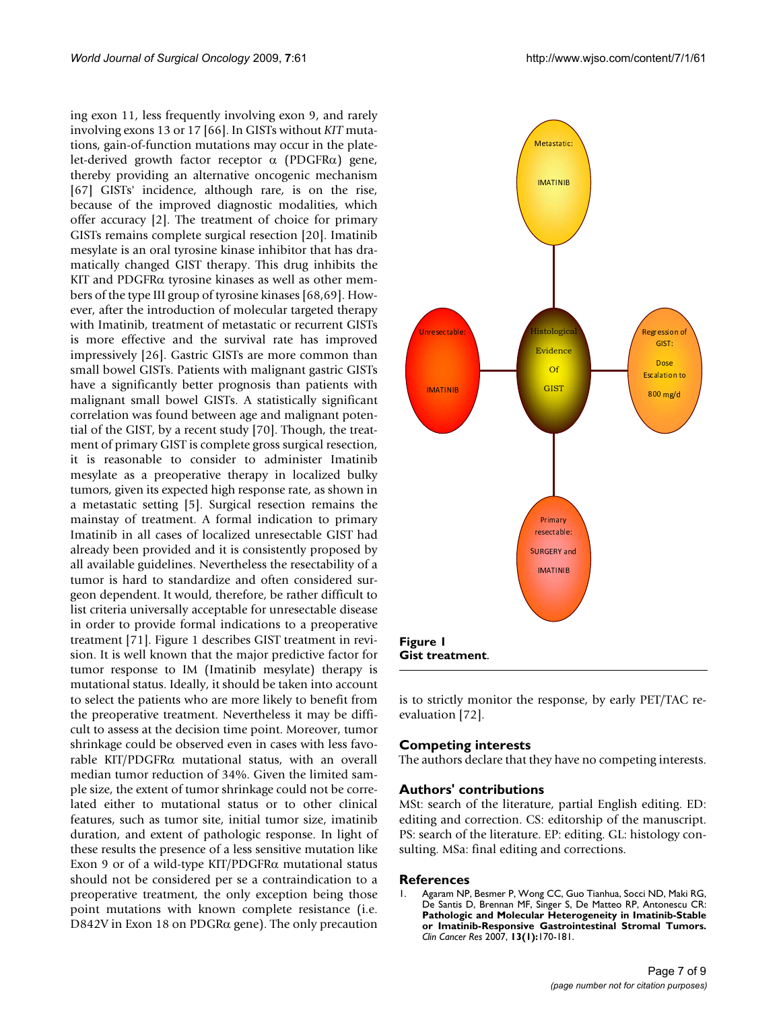ing exon 11, less frequently involving exon 9, and rarely involving exons 13 or 17 [66]. In GISTs without *KIT* mutations, gain-of-function mutations may occur in the platelet-derived growth factor receptor  $\alpha$  (PDGFR $\alpha$ ) gene, thereby providing an alternative oncogenic mechanism [67] GISTs' incidence, although rare, is on the rise, because of the improved diagnostic modalities, which offer accuracy [2]. The treatment of choice for primary GISTs remains complete surgical resection [20]. Imatinib mesylate is an oral tyrosine kinase inhibitor that has dramatically changed GIST therapy. This drug inhibits the KIT and PDGFR $\alpha$  tyrosine kinases as well as other members of the type III group of tyrosine kinases [68,69]. However, after the introduction of molecular targeted therapy with Imatinib, treatment of metastatic or recurrent GISTs is more effective and the survival rate has improved impressively [26]. Gastric GISTs are more common than small bowel GISTs. Patients with malignant gastric GISTs have a significantly better prognosis than patients with malignant small bowel GISTs. A statistically significant correlation was found between age and malignant potential of the GIST, by a recent study [70]. Though, the treatment of primary GIST is complete gross surgical resection, it is reasonable to consider to administer Imatinib mesylate as a preoperative therapy in localized bulky tumors, given its expected high response rate, as shown in a metastatic setting [5]. Surgical resection remains the mainstay of treatment. A formal indication to primary Imatinib in all cases of localized unresectable GIST had already been provided and it is consistently proposed by all available guidelines. Nevertheless the resectability of a tumor is hard to standardize and often considered surgeon dependent. It would, therefore, be rather difficult to list criteria universally acceptable for unresectable disease in order to provide formal indications to a preoperative treatment [71]. Figure 1 describes GIST treatment in revision. It is well known that the major predictive factor for tumor response to IM (Imatinib mesylate) therapy is mutational status. Ideally, it should be taken into account to select the patients who are more likely to benefit from the preoperative treatment. Nevertheless it may be difficult to assess at the decision time point. Moreover, tumor shrinkage could be observed even in cases with less favorable KIT/PDGFR $\alpha$  mutational status, with an overall median tumor reduction of 34%. Given the limited sample size, the extent of tumor shrinkage could not be correlated either to mutational status or to other clinical features, such as tumor site, initial tumor size, imatinib duration, and extent of pathologic response. In light of these results the presence of a less sensitive mutation like Exon 9 or of a wild-type  $KIT/PDGFR\alpha$  mutational status should not be considered per se a contraindication to a preoperative treatment, the only exception being those point mutations with known complete resistance (i.e. D842V in Exon 18 on PDGR $\alpha$  gene). The only precaution



is to strictly monitor the response, by early PET/TAC reevaluation [72].

#### **Competing interests**

The authors declare that they have no competing interests.

#### **Authors' contributions**

MSt: search of the literature, partial English editing. ED: editing and correction. CS: editorship of the manuscript. PS: search of the literature. EP: editing. GL: histology consulting. MSa: final editing and corrections.

#### **References**

1. Agaram NP, Besmer P, Wong CC, Guo Tianhua, Socci ND, Maki RG, De Santis D, Brennan MF, Singer S, De Matteo RP, Antonescu CR: **Pathologic and Molecular Heterogeneity in Imatinib-Stable [or Imatinib-Responsive Gastrointestinal Stromal Tumors.](http://www.ncbi.nlm.nih.gov/entrez/query.fcgi?cmd=Retrieve&db=PubMed&dopt=Abstract&list_uids=17200352)** *Clin Cancer Res* 2007, **13(1):**170-181.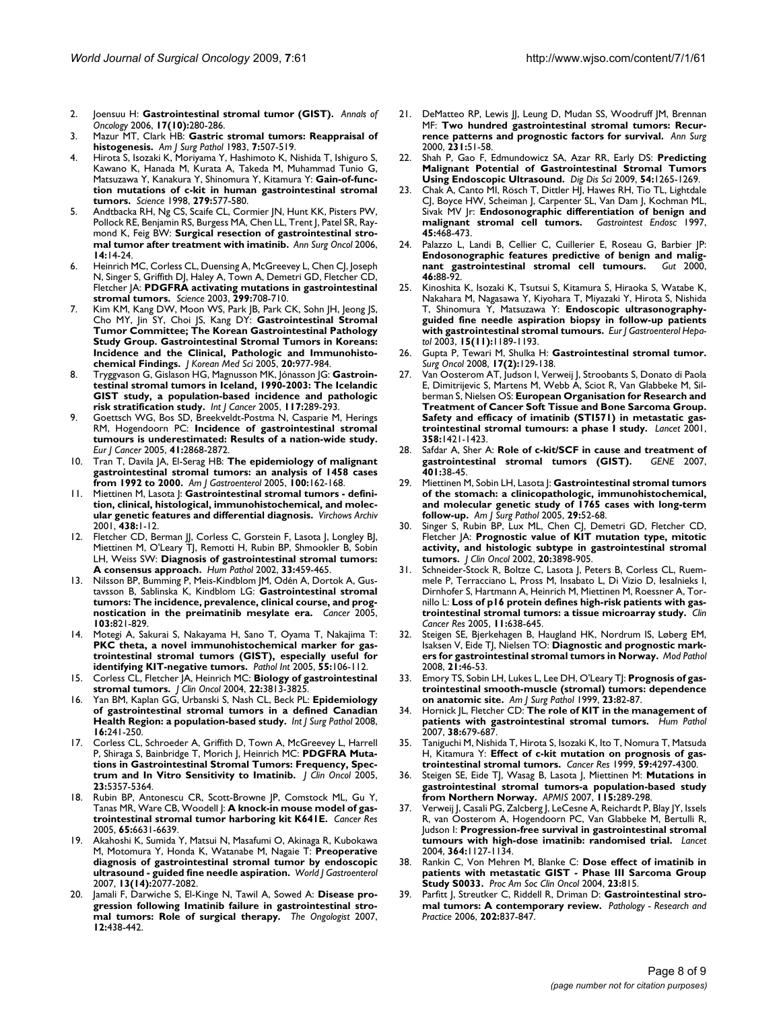- 2. Joensuu H: **Gastrointestinal stromal tumor (GIST).** *Annals of Oncology* 2006, **17(10):**280-286.
- 3. Mazur MT, Clark HB: **[Gastric stromal tumors: Reappraisal of](http://www.ncbi.nlm.nih.gov/entrez/query.fcgi?cmd=Retrieve&db=PubMed&dopt=Abstract&list_uids=6625048) [histogenesis.](http://www.ncbi.nlm.nih.gov/entrez/query.fcgi?cmd=Retrieve&db=PubMed&dopt=Abstract&list_uids=6625048)** *Am J Surg Pathol* 1983, **7:**507-519.
- 4. Hirota S, Isozaki K, Moriyama Y, Hashimoto K, Nishida T, Ishiguro S, Kawano K, Hanada M, Kurata A, Takeda M, Muhammad Tunio G, Matsuzawa Y, Kanakura Y, Shinomura Y, Kitamura Y: **[Gain-of-func](http://www.ncbi.nlm.nih.gov/entrez/query.fcgi?cmd=Retrieve&db=PubMed&dopt=Abstract&list_uids=9438854)[tion mutations of c-kit in human gastrointestinal stromal](http://www.ncbi.nlm.nih.gov/entrez/query.fcgi?cmd=Retrieve&db=PubMed&dopt=Abstract&list_uids=9438854) [tumors.](http://www.ncbi.nlm.nih.gov/entrez/query.fcgi?cmd=Retrieve&db=PubMed&dopt=Abstract&list_uids=9438854)** *Science* 1998, **279:**577-580.
- 5. Andtbacka RH, Ng CS, Scaife CL, Cormier JN, Hunt KK, Pisters PW, Pollock RE, Benjamin RS, Burgess MA, Chen LL, Trent J, Patel SR, Raymond K, Feig BW: **Surgical resection of gastrointestinal stromal tumor after treatment with imatinib.** *Ann Surg Oncol* 2006, **14:**14-24.
- 6. Heinrich MC, Corless CL, Duensing A, McGreevey L, Chen CJ, Joseph N, Singer S, Griffith DJ, Haley A, Town A, Demetri GD, Fletcher CD, Fletcher JA: **[PDGFRA activating mutations in gastrointestinal](http://www.ncbi.nlm.nih.gov/entrez/query.fcgi?cmd=Retrieve&db=PubMed&dopt=Abstract&list_uids=12522257) [stromal tumors.](http://www.ncbi.nlm.nih.gov/entrez/query.fcgi?cmd=Retrieve&db=PubMed&dopt=Abstract&list_uids=12522257)** *Science* 2003, **299:**708-710.
- 7. Kim KM, Kang DW, Moon WS, Park JB, Park CK, Sohn JH, Jeong JS, Cho MY, Jin SY, Choi JS, Kang DY: **[Gastrointestinal Stromal](http://www.ncbi.nlm.nih.gov/entrez/query.fcgi?cmd=Retrieve&db=PubMed&dopt=Abstract&list_uids=16361808) [Tumor Committee; The Korean Gastrointestinal Pathology](http://www.ncbi.nlm.nih.gov/entrez/query.fcgi?cmd=Retrieve&db=PubMed&dopt=Abstract&list_uids=16361808) Study Group. Gastrointestinal Stromal Tumors in Koreans: Incidence and the Clinical, Pathologic and Immunohisto[chemical Findings.](http://www.ncbi.nlm.nih.gov/entrez/query.fcgi?cmd=Retrieve&db=PubMed&dopt=Abstract&list_uids=16361808)** *J Korean Med Sci* 2005, **20:**977-984.
- 8. Tryggvason G, Gislason HG, Magnusson MK, Jónasson JG: **[Gastroin](http://www.ncbi.nlm.nih.gov/entrez/query.fcgi?cmd=Retrieve&db=PubMed&dopt=Abstract&list_uids=15900576)[testinal stromal tumors in Iceland, 1990-2003: The Icelandic](http://www.ncbi.nlm.nih.gov/entrez/query.fcgi?cmd=Retrieve&db=PubMed&dopt=Abstract&list_uids=15900576) GIST study, a population-based incidence and pathologic [risk stratification study.](http://www.ncbi.nlm.nih.gov/entrez/query.fcgi?cmd=Retrieve&db=PubMed&dopt=Abstract&list_uids=15900576)** *Int J Cancer* 2005, **117:**289-293.
- 9. Goettsch WG, Bos SD, Breekveldt-Postma N, Casparie M, Herings RM, Hogendoorn PC: **[Incidence of gastrointestinal stromal](http://www.ncbi.nlm.nih.gov/entrez/query.fcgi?cmd=Retrieve&db=PubMed&dopt=Abstract&list_uids=16293410) [tumours is underestimated: Results of a nation-wide study.](http://www.ncbi.nlm.nih.gov/entrez/query.fcgi?cmd=Retrieve&db=PubMed&dopt=Abstract&list_uids=16293410)** *Eur J Cancer* 2005, **41:**2868-2872.
- 10. Tran T, Davila JA, El-Serag HB: **[The epidemiology of malignant](http://www.ncbi.nlm.nih.gov/entrez/query.fcgi?cmd=Retrieve&db=PubMed&dopt=Abstract&list_uids=15654796) [gastrointestinal stromal tumors: an analysis of 1458 cases](http://www.ncbi.nlm.nih.gov/entrez/query.fcgi?cmd=Retrieve&db=PubMed&dopt=Abstract&list_uids=15654796) [from 1992 to 2000.](http://www.ncbi.nlm.nih.gov/entrez/query.fcgi?cmd=Retrieve&db=PubMed&dopt=Abstract&list_uids=15654796)** *Am J Gastroenterol* 2005, **100:**162-168.
- 11. Miettinen M, Lasota J: **[Gastrointestinal stromal tumors defini](http://www.ncbi.nlm.nih.gov/entrez/query.fcgi?cmd=Retrieve&db=PubMed&dopt=Abstract&list_uids=11213830)[tion, clinical, histological, immunohistochemical, and molec](http://www.ncbi.nlm.nih.gov/entrez/query.fcgi?cmd=Retrieve&db=PubMed&dopt=Abstract&list_uids=11213830)[ular genetic features and differential diagnosis.](http://www.ncbi.nlm.nih.gov/entrez/query.fcgi?cmd=Retrieve&db=PubMed&dopt=Abstract&list_uids=11213830)** *Virchows Archiv* 2001, **438:**1-12.
- Fletcher CD, Berman JJ, Corless C, Gorstein F, Lasota J, Longley BJ, Miettinen M, O'Leary TJ, Remotti H, Rubin BP, Shmookler B, Sobin LH, Weiss SW: **[Diagnosis of gastrointestinal stromal tumors:](http://www.ncbi.nlm.nih.gov/entrez/query.fcgi?cmd=Retrieve&db=PubMed&dopt=Abstract&list_uids=12094370) [A consensus approach.](http://www.ncbi.nlm.nih.gov/entrez/query.fcgi?cmd=Retrieve&db=PubMed&dopt=Abstract&list_uids=12094370)** *Hum Pathol* 2002, **33:**459-465.
- 13. Nilsson BP, Bumming P, Meis-Kindblom JM, Odén A, Dortok A, Gustavsson B, Sablinska K, Kindblom LG: **[Gastrointestinal stromal](http://www.ncbi.nlm.nih.gov/entrez/query.fcgi?cmd=Retrieve&db=PubMed&dopt=Abstract&list_uids=15648083) [tumors: The incidence, prevalence, clinical course, and prog](http://www.ncbi.nlm.nih.gov/entrez/query.fcgi?cmd=Retrieve&db=PubMed&dopt=Abstract&list_uids=15648083)[nostication in the preimatinib mesylate era.](http://www.ncbi.nlm.nih.gov/entrez/query.fcgi?cmd=Retrieve&db=PubMed&dopt=Abstract&list_uids=15648083)** *Cancer* 2005, **103:**821-829.
- 14. Motegi A, Sakurai S, Nakayama H, Sano T, Oyama T, Nakajima T: **[PKC theta, a novel immunohistochemical marker for gas](http://www.ncbi.nlm.nih.gov/entrez/query.fcgi?cmd=Retrieve&db=PubMed&dopt=Abstract&list_uids=15743318)trointestinal stromal tumors (GIST), especially useful for [identifying KIT-negative tumors.](http://www.ncbi.nlm.nih.gov/entrez/query.fcgi?cmd=Retrieve&db=PubMed&dopt=Abstract&list_uids=15743318)** *Pathol Int* 2005, **55:**106-112.
- 15. Corless CL, Fletcher JA, Heinrich MC: **[Biology of gastrointestinal](http://www.ncbi.nlm.nih.gov/entrez/query.fcgi?cmd=Retrieve&db=PubMed&dopt=Abstract&list_uids=15365079) [stromal tumors.](http://www.ncbi.nlm.nih.gov/entrez/query.fcgi?cmd=Retrieve&db=PubMed&dopt=Abstract&list_uids=15365079)** *J Clin Oncol* 2004, **22:**3813-3825.
- 16. Yan BM, Kaplan GG, Urbanski S, Nash CL, Beck PL: **[Epidemiology](http://www.ncbi.nlm.nih.gov/entrez/query.fcgi?cmd=Retrieve&db=PubMed&dopt=Abstract&list_uids=18573781) [of gastrointestinal stromal tumors in a defined Canadian](http://www.ncbi.nlm.nih.gov/entrez/query.fcgi?cmd=Retrieve&db=PubMed&dopt=Abstract&list_uids=18573781) [Health Region: a population-based study.](http://www.ncbi.nlm.nih.gov/entrez/query.fcgi?cmd=Retrieve&db=PubMed&dopt=Abstract&list_uids=18573781)** *Int J Surg Pathol* 2008, **16:**241-250.
- 17. Corless CL, Schroeder A, Griffith D, Town A, McGreevey L, Harrell P, Shiraga S, Bainbridge T, Morich J, Heinrich MC: **[PDGFRA Muta](http://www.ncbi.nlm.nih.gov/entrez/query.fcgi?cmd=Retrieve&db=PubMed&dopt=Abstract&list_uids=15928335)[tions in Gastrointestinal Stromal Tumors: Frequency, Spec](http://www.ncbi.nlm.nih.gov/entrez/query.fcgi?cmd=Retrieve&db=PubMed&dopt=Abstract&list_uids=15928335)[trum and In Vitro Sensitivity to Imatinib.](http://www.ncbi.nlm.nih.gov/entrez/query.fcgi?cmd=Retrieve&db=PubMed&dopt=Abstract&list_uids=15928335)** *J Clin Oncol* 2005, **23:**5357-5364.
- Rubin BP, Antonescu CR, Scott-Browne JP, Comstock ML, Gu Y, Tanas MR, Ware CB, Woodell J: **[A knock-in mouse model of gas](http://www.ncbi.nlm.nih.gov/entrez/query.fcgi?cmd=Retrieve&db=PubMed&dopt=Abstract&list_uids=16061643)[trointestinal stromal tumor harboring kit K641E.](http://www.ncbi.nlm.nih.gov/entrez/query.fcgi?cmd=Retrieve&db=PubMed&dopt=Abstract&list_uids=16061643)** *Cancer Res* 2005, **65:**6631-6639.
- 19. Akahoshi K, Sumida Y, Matsui N, Masafumi O, Akinaga R, Kubokawa M, Motomura Y, Honda K, Watanabe M, Nagaie T: **[Preoperative](http://www.ncbi.nlm.nih.gov/entrez/query.fcgi?cmd=Retrieve&db=PubMed&dopt=Abstract&list_uids=17465451) [diagnosis of gastrointestinal stromal tumor by endoscopic](http://www.ncbi.nlm.nih.gov/entrez/query.fcgi?cmd=Retrieve&db=PubMed&dopt=Abstract&list_uids=17465451) [ultrasound - guided fine needle aspiration.](http://www.ncbi.nlm.nih.gov/entrez/query.fcgi?cmd=Retrieve&db=PubMed&dopt=Abstract&list_uids=17465451)** *World J Gastroenterol* 2007, **13(14):**2077-2082.
- 20. Jamali F, Darwiche S, El-Kinge N, Tawil A, Sowed A: **Disease progression following Imatinib failure in gastrointestinal stromal tumors: Role of surgical therapy.** *The Ongologist* 2007, **12:**438-442.
- 21. DeMatteo RP, Lewis JJ, Leung D, Mudan SS, Woodruff JM, Brennan MF: **[Two hundred gastrointestinal stromal tumors: Recur](http://www.ncbi.nlm.nih.gov/entrez/query.fcgi?cmd=Retrieve&db=PubMed&dopt=Abstract&list_uids=10636102)[rence patterns and prognostic factors for survival.](http://www.ncbi.nlm.nih.gov/entrez/query.fcgi?cmd=Retrieve&db=PubMed&dopt=Abstract&list_uids=10636102)** *Ann Surg* 2000, **231:**51-58.
- 22. Shah P, Gao F, Edmundowicz SA, Azar RR, Early DS: **[Predicting](http://www.ncbi.nlm.nih.gov/entrez/query.fcgi?cmd=Retrieve&db=PubMed&dopt=Abstract&list_uids=18758957) [Malignant Potential of Gastrointestinal Stromal Tumors](http://www.ncbi.nlm.nih.gov/entrez/query.fcgi?cmd=Retrieve&db=PubMed&dopt=Abstract&list_uids=18758957) [Using Endoscopic Ultrasound.](http://www.ncbi.nlm.nih.gov/entrez/query.fcgi?cmd=Retrieve&db=PubMed&dopt=Abstract&list_uids=18758957)** *Dig Dis Sci* 2009, **54:**1265-1269.
- 23. Chak A, Canto MI, Rösch T, Dittler HJ, Hawes RH, Tio TL, Lightdale CJ, Boyce HW, Scheiman J, Carpenter SL, Van Dam J, Kochman ML, Sivak MV Jr: **[Endosonographic differentiation of benign and](http://www.ncbi.nlm.nih.gov/entrez/query.fcgi?cmd=Retrieve&db=PubMed&dopt=Abstract&list_uids=9199902) [malignant stromal cell tumors.](http://www.ncbi.nlm.nih.gov/entrez/query.fcgi?cmd=Retrieve&db=PubMed&dopt=Abstract&list_uids=9199902)** *Gastrointest Endosc* 1997, **45:**468-473.
- 24. Palazzo L, Landi B, Cellier C, Cuillerier E, Roseau G, Barbier JP: **[Endosonographic features predictive of benign and malig](http://www.ncbi.nlm.nih.gov/entrez/query.fcgi?cmd=Retrieve&db=PubMed&dopt=Abstract&list_uids=10601061)[nant gastrointestinal stromal cell tumours.](http://www.ncbi.nlm.nih.gov/entrez/query.fcgi?cmd=Retrieve&db=PubMed&dopt=Abstract&list_uids=10601061)** *Gut* 2000, **46:**88-92.
- 25. Kinoshita K, Isozaki K, Tsutsui S, Kitamura S, Hiraoka S, Watabe K, Nakahara M, Nagasawa Y, Kiyohara T, Miyazaki Y, Hirota S, Nishida T, Shinomura Y, Matsuzawa Y: **[Endoscopic ultrasonography](http://www.ncbi.nlm.nih.gov/entrez/query.fcgi?cmd=Retrieve&db=PubMed&dopt=Abstract&list_uids=14560152)[guided fine needle aspiration biopsy in follow-up patients](http://www.ncbi.nlm.nih.gov/entrez/query.fcgi?cmd=Retrieve&db=PubMed&dopt=Abstract&list_uids=14560152) [with gastrointestinal stromal tumours.](http://www.ncbi.nlm.nih.gov/entrez/query.fcgi?cmd=Retrieve&db=PubMed&dopt=Abstract&list_uids=14560152)** *Eur J Gastroenterol Hepatol* 2003, **15(11):**1189-1193.
- 26. Gupta P, Tewari M, Shulka H: **[Gastrointestinal stromal tumor.](http://www.ncbi.nlm.nih.gov/entrez/query.fcgi?cmd=Retrieve&db=PubMed&dopt=Abstract&list_uids=18234489)** *Surg Oncol* 2008, **17(2):**129-138.
- Van Oosterom AT, Judson I, Verweij J, Stroobants S, Donato di Paola E, Dimitrijevic S, Martens M, Webb A, Sciot R, Van Glabbeke M, Silberman S, Nielsen OS: **[European Organisation for Research and](http://www.ncbi.nlm.nih.gov/entrez/query.fcgi?cmd=Retrieve&db=PubMed&dopt=Abstract&list_uids=11705489) [Treatment of Cancer Soft Tissue and Bone Sarcoma Group.](http://www.ncbi.nlm.nih.gov/entrez/query.fcgi?cmd=Retrieve&db=PubMed&dopt=Abstract&list_uids=11705489) Safety and efficacy of imatinib (STI571) in metastatic gas[trointestinal stromal tumours: a phase I study.](http://www.ncbi.nlm.nih.gov/entrez/query.fcgi?cmd=Retrieve&db=PubMed&dopt=Abstract&list_uids=11705489)** *Lancet* 2001, **358:**1421-1423.
- 28. Safdar A, Sher A: **[Role of c-kit/SCF in cause and treatment of](http://www.ncbi.nlm.nih.gov/entrez/query.fcgi?cmd=Retrieve&db=PubMed&dopt=Abstract&list_uids=17659849)** [gastrointestinal stromal tumors \(GIST\).](http://www.ncbi.nlm.nih.gov/entrez/query.fcgi?cmd=Retrieve&db=PubMed&dopt=Abstract&list_uids=17659849) **401:**38-45.
- 29. Miettinen M, Sobin LH, Lasota J: [Gastrointestinal stromal tumors](http://www.ncbi.nlm.nih.gov/entrez/query.fcgi?cmd=Retrieve&db=PubMed&dopt=Abstract&list_uids=15613856) **[of the stomach: a clinicopathologic, immunohistochemical,](http://www.ncbi.nlm.nih.gov/entrez/query.fcgi?cmd=Retrieve&db=PubMed&dopt=Abstract&list_uids=15613856) and molecular genetic study of 1765 cases with long-term [follow-up.](http://www.ncbi.nlm.nih.gov/entrez/query.fcgi?cmd=Retrieve&db=PubMed&dopt=Abstract&list_uids=15613856)** *Am J Surg Pathol* 2005, **29:**52-68.
- Singer S, Rubin BP, Lux ML, Chen CJ, Demetri GD, Fletcher CD, Fletcher JA: **[Prognostic value of KIT mutation type, mitotic](http://www.ncbi.nlm.nih.gov/entrez/query.fcgi?cmd=Retrieve&db=PubMed&dopt=Abstract&list_uids=12228211) [activity, and histologic subtype in gastrointestinal stromal](http://www.ncbi.nlm.nih.gov/entrez/query.fcgi?cmd=Retrieve&db=PubMed&dopt=Abstract&list_uids=12228211) [tumors.](http://www.ncbi.nlm.nih.gov/entrez/query.fcgi?cmd=Retrieve&db=PubMed&dopt=Abstract&list_uids=12228211)** *J Clin Oncol* 2002, **20:**3898-905.
- Schneider-Stock R, Boltze C, Lasota J, Peters B, Corless CL, Ruemmele P, Terracciano L, Pross M, Insabato L, Di Vizio D, Iesalnieks I, Dirnhofer S, Hartmann A, Heinrich M, Miettinen M, Roessner A, Tornillo L: **[Loss of p16 protein defines high-risk patients with gas](http://www.ncbi.nlm.nih.gov/entrez/query.fcgi?cmd=Retrieve&db=PubMed&dopt=Abstract&list_uids=15701851)[trointestinal stromal tumors: a tissue microarray study.](http://www.ncbi.nlm.nih.gov/entrez/query.fcgi?cmd=Retrieve&db=PubMed&dopt=Abstract&list_uids=15701851)** *Clin Cancer Res* 2005, **11:**638-645.
- 32. Steigen SE, Bjerkehagen B, Haugland HK, Nordrum IS, Løberg EM, Isaksen V, Eide TJ, Nielsen TO: **[Diagnostic and prognostic mark](http://www.ncbi.nlm.nih.gov/entrez/query.fcgi?cmd=Retrieve&db=PubMed&dopt=Abstract&list_uids=17917670)[ers for gastrointestinal stromal tumors in Norway.](http://www.ncbi.nlm.nih.gov/entrez/query.fcgi?cmd=Retrieve&db=PubMed&dopt=Abstract&list_uids=17917670)** *Mod Pathol* 2008, **21:**46-53.
- 33. Emory TS, Sobin LH, Lukes L, Lee DH, O'Leary TJ: **[Prognosis of gas](http://www.ncbi.nlm.nih.gov/entrez/query.fcgi?cmd=Retrieve&db=PubMed&dopt=Abstract&list_uids=9888707)[trointestinal smooth-muscle \(stromal\) tumors: dependence](http://www.ncbi.nlm.nih.gov/entrez/query.fcgi?cmd=Retrieve&db=PubMed&dopt=Abstract&list_uids=9888707) [on anatomic site.](http://www.ncbi.nlm.nih.gov/entrez/query.fcgi?cmd=Retrieve&db=PubMed&dopt=Abstract&list_uids=9888707)** *Am J Surg Pathol* 1999, **23:**82-87.
- 34. Hornick JL, Fletcher CD: **[The role of KIT in the management of](http://www.ncbi.nlm.nih.gov/entrez/query.fcgi?cmd=Retrieve&db=PubMed&dopt=Abstract&list_uids=17437861) [patients with gastrointestinal stromal tumors.](http://www.ncbi.nlm.nih.gov/entrez/query.fcgi?cmd=Retrieve&db=PubMed&dopt=Abstract&list_uids=17437861)** *Hum Pathol* 2007, **38:**679-687.
- 35. Taniguchi M, Nishida T, Hirota S, Isozaki K, Ito T, Nomura T, Matsuda H, Kitamura Y: **[Effect of c-kit mutation on prognosis of gas](http://www.ncbi.nlm.nih.gov/entrez/query.fcgi?cmd=Retrieve&db=PubMed&dopt=Abstract&list_uids=10485475)[trointestinal stromal tumors.](http://www.ncbi.nlm.nih.gov/entrez/query.fcgi?cmd=Retrieve&db=PubMed&dopt=Abstract&list_uids=10485475)** *Cancer Res* 1999, **59:**4297-4300.
- 36. Steigen SE, Eide TJ, Wasag B, Lasota J, Miettinen M: **[Mutations in](http://www.ncbi.nlm.nih.gov/entrez/query.fcgi?cmd=Retrieve&db=PubMed&dopt=Abstract&list_uids=17504295) [gastrointestinal stromal tumors-a population-based study](http://www.ncbi.nlm.nih.gov/entrez/query.fcgi?cmd=Retrieve&db=PubMed&dopt=Abstract&list_uids=17504295) [from Northern Norway.](http://www.ncbi.nlm.nih.gov/entrez/query.fcgi?cmd=Retrieve&db=PubMed&dopt=Abstract&list_uids=17504295)** *APMIS* 2007, **115:**289-298.
- 37. Verweij J, Casali PG, Zalcberg J, LeCesne A, Reichardt P, Blay JY, Issels R, van Oosterom A, Hogendoorn PC, Van Glabbeke M, Bertulli R, Judson I: **[Progression-free survival in gastrointestinal stromal](http://www.ncbi.nlm.nih.gov/entrez/query.fcgi?cmd=Retrieve&db=PubMed&dopt=Abstract&list_uids=15451219) [tumours with high-dose imatinib: randomised trial.](http://www.ncbi.nlm.nih.gov/entrez/query.fcgi?cmd=Retrieve&db=PubMed&dopt=Abstract&list_uids=15451219)** *Lancet* 2004, **364:**1127-1134.
- 38. Rankin C, Von Mehren M, Blanke C: **Dose effect of imatinib in patients with metastatic GIST - Phase III Sarcoma Group Study S0033.** *Proc Am Soc Clin Oncol* 2004, **23:**815.
- Parfitt J, Streutker C, Riddell R, Driman D: Gastrointestinal stro**mal tumors: A contemporary review.** *Pathology - Research and Practice* 2006, **202:**837-847.